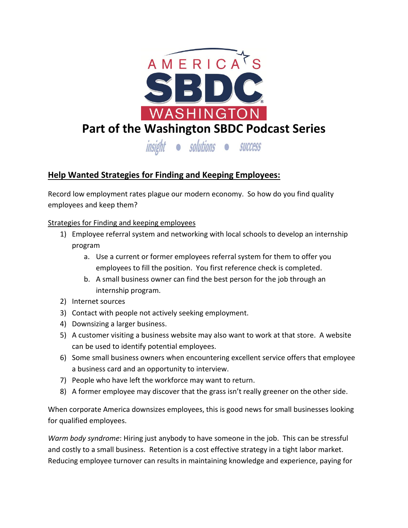

# **Help Wanted Strategies for Finding and Keeping Employees:**

Record low employment rates plague our modern economy. So how do you find quality employees and keep them?

# Strategies for Finding and keeping employees

- 1) Employee referral system and networking with local schools to develop an internship program
	- a. Use a current or former employees referral system for them to offer you employees to fill the position. You first reference check is completed.
	- b. A small business owner can find the best person for the job through an internship program.
- 2) Internet sources
- 3) Contact with people not actively seeking employment.
- 4) Downsizing a larger business.
- 5) A customer visiting a business website may also want to work at that store. A website can be used to identify potential employees.
- 6) Some small business owners when encountering excellent service offers that employee a business card and an opportunity to interview.
- 7) People who have left the workforce may want to return.
- 8) A former employee may discover that the grass isn't really greener on the other side.

When corporate America downsizes employees, this is good news for small businesses looking for qualified employees.

*Warm body syndrome*: Hiring just anybody to have someone in the job. This can be stressful and costly to a small business. Retention is a cost effective strategy in a tight labor market. Reducing employee turnover can results in maintaining knowledge and experience, paying for